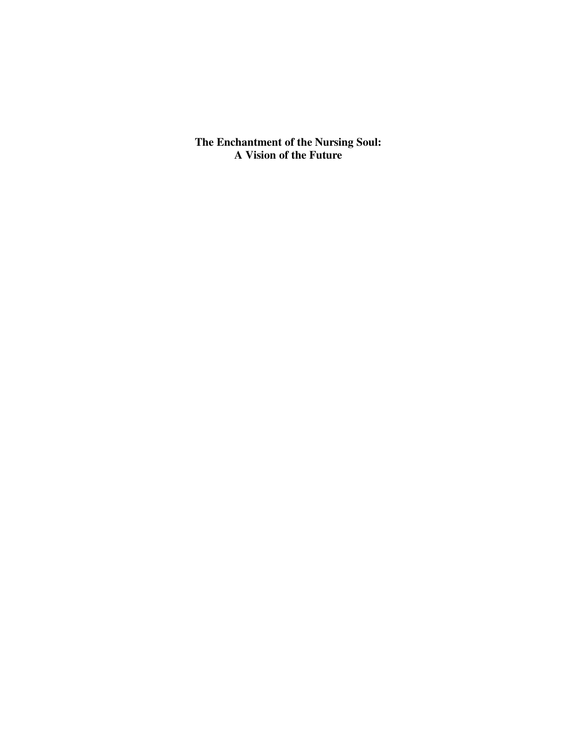**The Enchantment of the Nursing Soul: A Vision of the Future**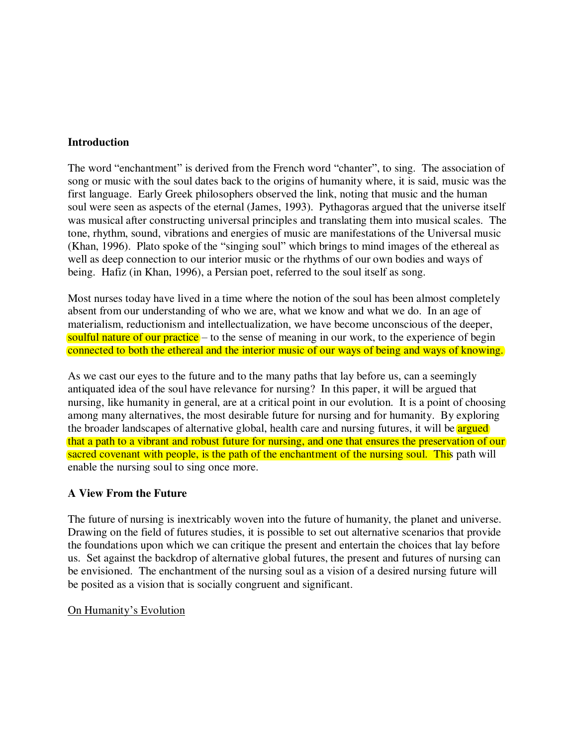# **Introduction**

The word "enchantment" is derived from the French word "chanter", to sing. The association of song or music with the soul dates back to the origins of humanity where, it is said, music was the first language. Early Greek philosophers observed the link, noting that music and the human soul were seen as aspects of the eternal (James, 1993). Pythagoras argued that the universe itself was musical after constructing universal principles and translating them into musical scales. The tone, rhythm, sound, vibrations and energies of music are manifestations of the Universal music (Khan, 1996). Plato spoke of the "singing soul" which brings to mind images of the ethereal as well as deep connection to our interior music or the rhythms of our own bodies and ways of being. Hafiz (in Khan, 1996), a Persian poet, referred to the soul itself as song.

Most nurses today have lived in a time where the notion of the soul has been almost completely absent from our understanding of who we are, what we know and what we do. In an age of materialism, reductionism and intellectualization, we have become unconscious of the deeper, soulful nature of our practice – to the sense of meaning in our work, to the experience of begin connected to both the ethereal and the interior music of our ways of being and ways of knowing.

As we cast our eyes to the future and to the many paths that lay before us, can a seemingly antiquated idea of the soul have relevance for nursing? In this paper, it will be argued that nursing, like humanity in general, are at a critical point in our evolution. It is a point of choosing among many alternatives, the most desirable future for nursing and for humanity. By exploring the broader landscapes of alternative global, health care and nursing futures, it will be **argued** that a path to a vibrant and robust future for nursing, and one that ensures the preservation of our sacred covenant with people, is the path of the enchantment of the nursing soul. This path will enable the nursing soul to sing once more.

# **A View From the Future**

The future of nursing is inextricably woven into the future of humanity, the planet and universe. Drawing on the field of futures studies, it is possible to set out alternative scenarios that provide the foundations upon which we can critique the present and entertain the choices that lay before us. Set against the backdrop of alternative global futures, the present and futures of nursing can be envisioned. The enchantment of the nursing soul as a vision of a desired nursing future will be posited as a vision that is socially congruent and significant.

### On Humanity's Evolution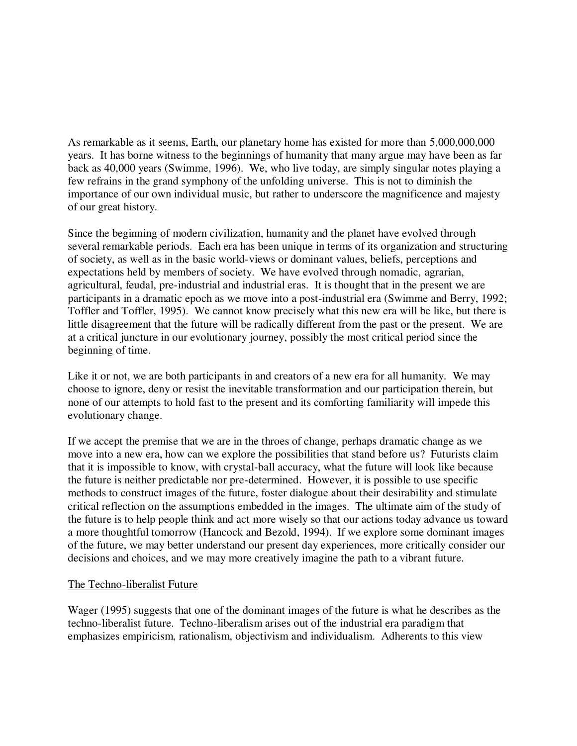As remarkable as it seems, Earth, our planetary home has existed for more than 5,000,000,000 years. It has borne witness to the beginnings of humanity that many argue may have been as far back as 40,000 years (Swimme, 1996). We, who live today, are simply singular notes playing a few refrains in the grand symphony of the unfolding universe. This is not to diminish the importance of our own individual music, but rather to underscore the magnificence and majesty of our great history.

Since the beginning of modern civilization, humanity and the planet have evolved through several remarkable periods. Each era has been unique in terms of its organization and structuring of society, as well as in the basic world-views or dominant values, beliefs, perceptions and expectations held by members of society. We have evolved through nomadic, agrarian, agricultural, feudal, pre-industrial and industrial eras. It is thought that in the present we are participants in a dramatic epoch as we move into a post-industrial era (Swimme and Berry, 1992; Toffler and Toffler, 1995). We cannot know precisely what this new era will be like, but there is little disagreement that the future will be radically different from the past or the present. We are at a critical juncture in our evolutionary journey, possibly the most critical period since the beginning of time.

Like it or not, we are both participants in and creators of a new era for all humanity. We may choose to ignore, deny or resist the inevitable transformation and our participation therein, but none of our attempts to hold fast to the present and its comforting familiarity will impede this evolutionary change.

If we accept the premise that we are in the throes of change, perhaps dramatic change as we move into a new era, how can we explore the possibilities that stand before us? Futurists claim that it is impossible to know, with crystal-ball accuracy, what the future will look like because the future is neither predictable nor pre-determined. However, it is possible to use specific methods to construct images of the future, foster dialogue about their desirability and stimulate critical reflection on the assumptions embedded in the images. The ultimate aim of the study of the future is to help people think and act more wisely so that our actions today advance us toward a more thoughtful tomorrow (Hancock and Bezold, 1994). If we explore some dominant images of the future, we may better understand our present day experiences, more critically consider our decisions and choices, and we may more creatively imagine the path to a vibrant future.

### The Techno-liberalist Future

Wager (1995) suggests that one of the dominant images of the future is what he describes as the techno-liberalist future. Techno-liberalism arises out of the industrial era paradigm that emphasizes empiricism, rationalism, objectivism and individualism. Adherents to this view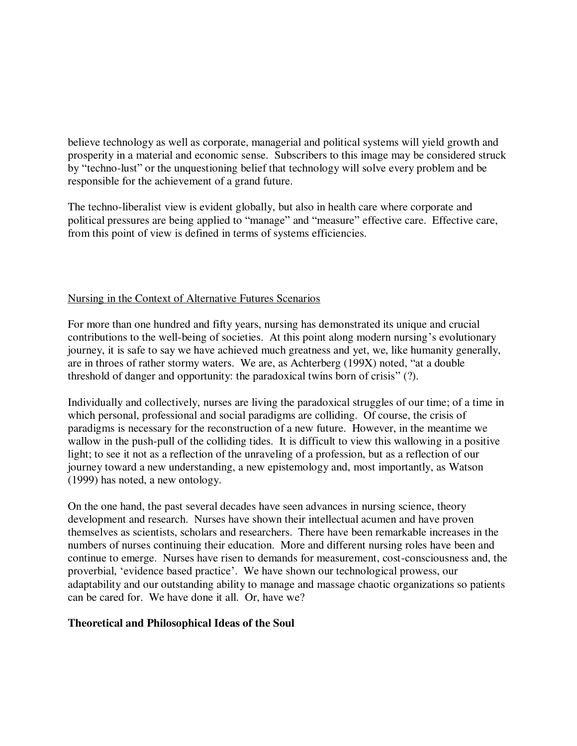believe technology as well as corporate, managerial and political systems will yield growth and prosperity in a material and economic sense. Subscribers to this image may be considered struck by "techno-lust" or the unquestioning belief that technology will solve every problem and be responsible for the achievement of a grand future.

The techno-liberalist view is evident globally, but also in health care where corporate and political pressures are being applied to "manage" and "measure" effective care. Effective care, from this point of view is defined in terms of systems efficiencies.

# Nursing in the Context of Alternative Futures Scenarios

For more than one hundred and fifty years, nursing has demonstrated its unique and crucial contributions to the well-being of societies. At this point along modern nursing's evolutionary journey, it is safe to say we have achieved much greatness and yet, we, like humanity generally, are in throes of rather stormy waters. We are, as Achterberg (199X) noted, "at a double threshold of danger and opportunity: the paradoxical twins born of crisis" (?).

Individually and collectively, nurses are living the paradoxical struggles of our time; of a time in which personal, professional and social paradigms are colliding. Of course, the crisis of paradigms is necessary for the reconstruction of a new future. However, in the meantime we wallow in the push-pull of the colliding tides. It is difficult to view this wallowing in a positive light; to see it not as a reflection of the unraveling of a profession, but as a reflection of our journey toward a new understanding, a new epistemology and, most importantly, as Watson (1999) has noted, a new ontology.

On the one hand, the past several decades have seen advances in nursing science, theory development and research. Nurses have shown their intellectual acumen and have proven themselves as scientists, scholars and researchers. There have been remarkable increases in the numbers of nurses continuing their education. More and different nursing roles have been and continue to emerge. Nurses have risen to demands for measurement, cost-consciousness and, the proverbial, 'evidence based practice'. We have shown our technological prowess, our adaptability and our outstanding ability to manage and massage chaotic organizations so patients can be cared for. We have done it all. Or, have we?

### **Theoretical and Philosophical Ideas of the Soul**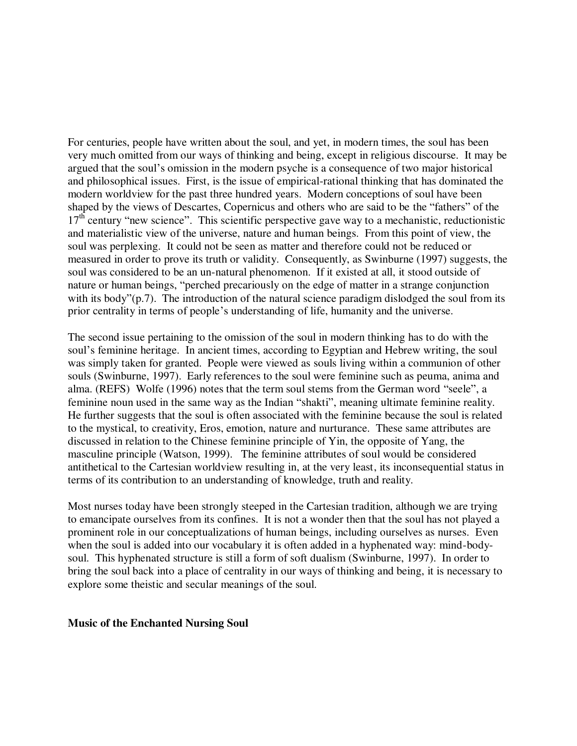For centuries, people have written about the soul, and yet, in modern times, the soul has been very much omitted from our ways of thinking and being, except in religious discourse. It may be argued that the soul's omission in the modern psyche is a consequence of two major historical and philosophical issues. First, is the issue of empirical-rational thinking that has dominated the modern worldview for the past three hundred years. Modern conceptions of soul have been shaped by the views of Descartes, Copernicus and others who are said to be the "fathers" of the  $17<sup>th</sup>$  century "new science". This scientific perspective gave way to a mechanistic, reductionistic and materialistic view of the universe, nature and human beings. From this point of view, the soul was perplexing. It could not be seen as matter and therefore could not be reduced or measured in order to prove its truth or validity. Consequently, as Swinburne (1997) suggests, the soul was considered to be an un-natural phenomenon. If it existed at all, it stood outside of nature or human beings, "perched precariously on the edge of matter in a strange conjunction with its body"(p.7). The introduction of the natural science paradigm dislodged the soul from its prior centrality in terms of people's understanding of life, humanity and the universe.

The second issue pertaining to the omission of the soul in modern thinking has to do with the soul's feminine heritage. In ancient times, according to Egyptian and Hebrew writing, the soul was simply taken for granted. People were viewed as souls living within a communion of other souls (Swinburne, 1997). Early references to the soul were feminine such as peuma, anima and alma. (REFS) Wolfe (1996) notes that the term soul stems from the German word "seele", a feminine noun used in the same way as the Indian "shakti", meaning ultimate feminine reality. He further suggests that the soul is often associated with the feminine because the soul is related to the mystical, to creativity, Eros, emotion, nature and nurturance. These same attributes are discussed in relation to the Chinese feminine principle of Yin, the opposite of Yang, the masculine principle (Watson, 1999). The feminine attributes of soul would be considered antithetical to the Cartesian worldview resulting in, at the very least, its inconsequential status in terms of its contribution to an understanding of knowledge, truth and reality.

Most nurses today have been strongly steeped in the Cartesian tradition, although we are trying to emancipate ourselves from its confines. It is not a wonder then that the soul has not played a prominent role in our conceptualizations of human beings, including ourselves as nurses. Even when the soul is added into our vocabulary it is often added in a hyphenated way: mind-bodysoul. This hyphenated structure is still a form of soft dualism (Swinburne, 1997). In order to bring the soul back into a place of centrality in our ways of thinking and being, it is necessary to explore some theistic and secular meanings of the soul.

#### **Music of the Enchanted Nursing Soul**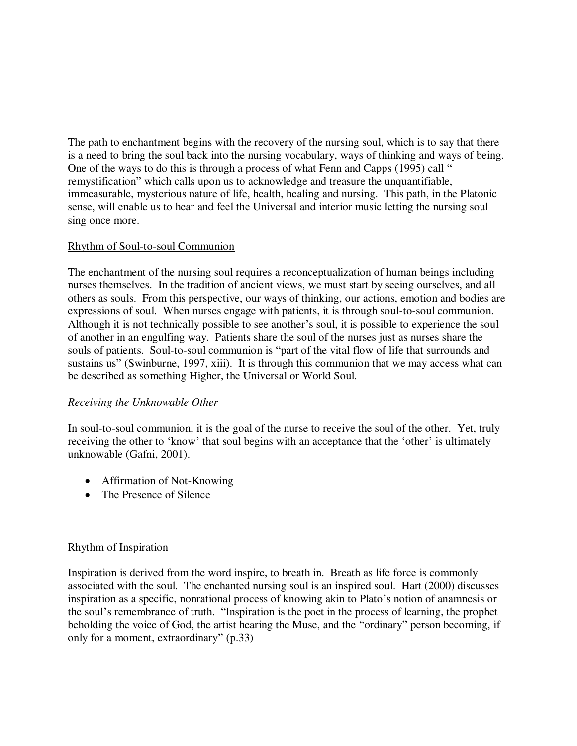The path to enchantment begins with the recovery of the nursing soul, which is to say that there is a need to bring the soul back into the nursing vocabulary, ways of thinking and ways of being. One of the ways to do this is through a process of what Fenn and Capps (1995) call " remystification" which calls upon us to acknowledge and treasure the unquantifiable, immeasurable, mysterious nature of life, health, healing and nursing. This path, in the Platonic sense, will enable us to hear and feel the Universal and interior music letting the nursing soul sing once more.

# Rhythm of Soul-to-soul Communion

The enchantment of the nursing soul requires a reconceptualization of human beings including nurses themselves. In the tradition of ancient views, we must start by seeing ourselves, and all others as souls. From this perspective, our ways of thinking, our actions, emotion and bodies are expressions of soul. When nurses engage with patients, it is through soul-to-soul communion. Although it is not technically possible to see another's soul, it is possible to experience the soul of another in an engulfing way. Patients share the soul of the nurses just as nurses share the souls of patients. Soul-to-soul communion is "part of the vital flow of life that surrounds and sustains us" (Swinburne, 1997, xiii). It is through this communion that we may access what can be described as something Higher, the Universal or World Soul.

# *Receiving the Unknowable Other*

In soul-to-soul communion, it is the goal of the nurse to receive the soul of the other. Yet, truly receiving the other to 'know' that soul begins with an acceptance that the 'other' is ultimately unknowable (Gafni, 2001).

- Affirmation of Not-Knowing
- The Presence of Silence

# Rhythm of Inspiration

Inspiration is derived from the word inspire, to breath in. Breath as life force is commonly associated with the soul. The enchanted nursing soul is an inspired soul. Hart (2000) discusses inspiration as a specific, nonrational process of knowing akin to Plato's notion of anamnesis or the soul's remembrance of truth. "Inspiration is the poet in the process of learning, the prophet beholding the voice of God, the artist hearing the Muse, and the "ordinary" person becoming, if only for a moment, extraordinary" (p.33)